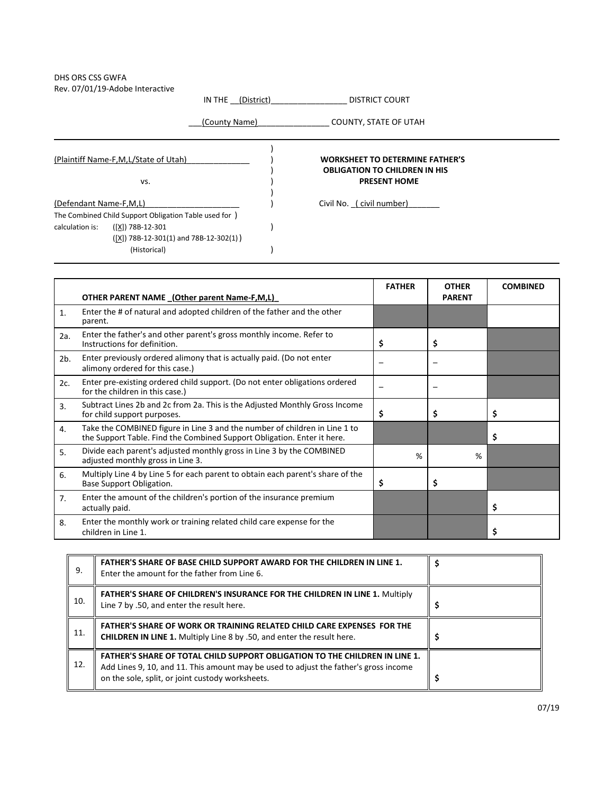## DHS ORS CSS GWFA Rev. 07/01/19-Adobe Interactive

|                                                        | IN THE (District) | DISTRICT COURT                                              |  |  |
|--------------------------------------------------------|-------------------|-------------------------------------------------------------|--|--|
|                                                        | (County Name)     | COUNTY, STATE OF UTAH                                       |  |  |
| (Plaintiff Name-F,M,L/State of Utah)                   |                   | <b>WORKSHEET TO DETERMINE FATHER'S</b>                      |  |  |
| VS.                                                    |                   | <b>OBLIGATION TO CHILDREN IN HIS</b><br><b>PRESENT HOME</b> |  |  |
| (Defendant Name-F,M,L)                                 |                   | Civil No. (civil number)                                    |  |  |
| The Combined Child Support Obligation Table used for ) |                   |                                                             |  |  |
| calculation is:<br>([X]) 78B-12-301                    |                   |                                                             |  |  |
| $([X])$ 78B-12-301(1) and 78B-12-302(1))               |                   |                                                             |  |  |
| (Historical)                                           |                   |                                                             |  |  |

|                |                                                                                                                                                       | <b>FATHER</b> | <b>OTHER</b>  | <b>COMBINED</b> |
|----------------|-------------------------------------------------------------------------------------------------------------------------------------------------------|---------------|---------------|-----------------|
|                | OTHER PARENT NAME (Other parent Name-F,M,L)                                                                                                           |               | <b>PARENT</b> |                 |
| $\mathbf{1}$ . | Enter the # of natural and adopted children of the father and the other<br>parent.                                                                    |               |               |                 |
| 2a.            | Enter the father's and other parent's gross monthly income. Refer to<br>Instructions for definition.                                                  | \$            | \$            |                 |
| $2b$ .         | Enter previously ordered alimony that is actually paid. (Do not enter<br>alimony ordered for this case.)                                              |               |               |                 |
| 2c.            | Enter pre-existing ordered child support. (Do not enter obligations ordered<br>for the children in this case.)                                        |               |               |                 |
| 3.             | Subtract Lines 2b and 2c from 2a. This is the Adjusted Monthly Gross Income<br>for child support purposes.                                            | \$            | \$            | \$              |
| 4.             | Take the COMBINED figure in Line 3 and the number of children in Line 1 to<br>the Support Table. Find the Combined Support Obligation. Enter it here. |               |               | \$              |
| 5.             | Divide each parent's adjusted monthly gross in Line 3 by the COMBINED<br>adjusted monthly gross in Line 3.                                            | %             | %             |                 |
| 6.             | Multiply Line 4 by Line 5 for each parent to obtain each parent's share of the<br>Base Support Obligation.                                            | \$            | \$            |                 |
| 7 <sub>1</sub> | Enter the amount of the children's portion of the insurance premium<br>actually paid.                                                                 |               |               | \$              |
| 8.             | Enter the monthly work or training related child care expense for the<br>children in Line 1.                                                          |               |               | \$              |

| 9.  | <b>FATHER'S SHARE OF BASE CHILD SUPPORT AWARD FOR THE CHILDREN IN LINE 1.</b><br>Enter the amount for the father from Line 6.                                                                                                  |  |
|-----|--------------------------------------------------------------------------------------------------------------------------------------------------------------------------------------------------------------------------------|--|
| 10. | <b>FATHER'S SHARE OF CHILDREN'S INSURANCE FOR THE CHILDREN IN LINE 1. Multiply</b><br>Line 7 by .50, and enter the result here.                                                                                                |  |
| 11. | <b>FATHER'S SHARE OF WORK OR TRAINING RELATED CHILD CARE EXPENSES FOR THE</b><br><b>CHILDREN IN LINE 1.</b> Multiply Line 8 by .50, and enter the result here.                                                                 |  |
| 12. | <b>FATHER'S SHARE OF TOTAL CHILD SUPPORT OBLIGATION TO THE CHILDREN IN LINE 1.</b><br>Add Lines 9, 10, and 11. This amount may be used to adjust the father's gross income<br>on the sole, split, or joint custody worksheets. |  |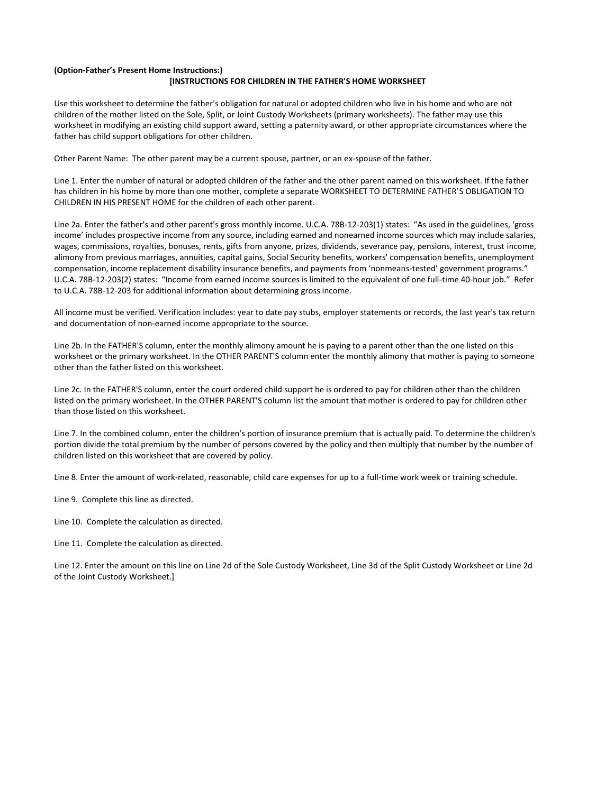## **(Option-Father's Present Home Instructions:) [INSTRUCTIONS FOR CHILDREN IN THE FATHER'S HOME WORKSHEET**

Use this worksheet to determine the father's obligation for natural or adopted children who live in his home and who are not children of the mother listed on the Sole, Split, or Joint Custody Worksheets (primary worksheets). The father may use this worksheet in modifying an existing child support award, setting a paternity award, or other appropriate circumstances where the father has child support obligations for other children.

Other Parent Name: The other parent may be a current spouse, partner, or an ex-spouse of the father.

Line 1. Enter the number of natural or adopted children of the father and the other parent named on this worksheet. If the father has children in his home by more than one mother, complete a separate WORKSHEET TO DETERMINE FATHER'S OBLIGATION TO CHILDREN IN HIS PRESENT HOME for the children of each other parent.

Line 2a. Enter the father's and other parent's gross monthly income. U.C.A. 78B-12-203(1) states: "As used in the guidelines, 'gross income' includes prospective income from any source, including earned and nonearned income sources which may include salaries, wages, commissions, royalties, bonuses, rents, gifts from anyone, prizes, dividends, severance pay, pensions, interest, trust income, alimony from previous marriages, annuities, capital gains, Social Security benefits, workers' compensation benefits, unemployment compensation, income replacement disability insurance benefits, and payments from 'nonmeans-tested' government programs." U.C.A. 78B-12-203(2) states: "Income from earned income sources is limited to the equivalent of one full-time 40-hour job." Refer to U.C.A. 78B-12-203 for additional information about determining gross income.

All income must be verified. Verification includes: year to date pay stubs, employer statements or records, the last year's tax return and documentation of non-earned income appropriate to the source.

Line 2b. In the FATHER'S column, enter the monthly alimony amount he is paying to a parent other than the one listed on this worksheet or the primary worksheet. In the OTHER PARENT'S column enter the monthly alimony that mother is paying to someone other than the father listed on this worksheet.

Line 2c. In the FATHER'S column, enter the court ordered child support he is ordered to pay for children other than the children listed on the primary worksheet. In the OTHER PARENT'S column list the amount that mother is ordered to pay for children other than those listed on this worksheet.

Line 7. In the combined column, enter the children's portion of insurance premium that is actually paid. To determine the children's portion divide the total premium by the number of persons covered by the policy and then multiply that number by the number of children listed on this worksheet that are covered by policy.

Line 8. Enter the amount of work-related, reasonable, child care expenses for up to a full-time work week or training schedule.

Line 9. Complete this line as directed.

Line 10. Complete the calculation as directed.

Line 11. Complete the calculation as directed.

Line 12. Enter the amount on this line on Line 2d of the Sole Custody Worksheet, Line 3d of the Split Custody Worksheet or Line 2d of the Joint Custody Worksheet.]